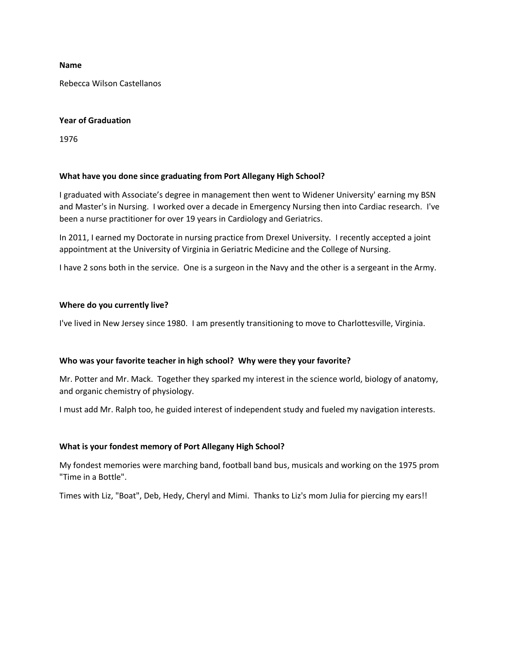### **Name**

Rebecca Wilson Castellanos

### **Year of Graduation**

1976

## **What have you done since graduating from Port Allegany High School?**

I graduated with Associate's degree in management then went to Widener University' earning my BSN and Master's in Nursing. I worked over a decade in Emergency Nursing then into Cardiac research. I've been a nurse practitioner for over 19 years in Cardiology and Geriatrics.

In 2011, I earned my Doctorate in nursing practice from Drexel University. I recently accepted a joint appointment at the University of Virginia in Geriatric Medicine and the College of Nursing.

I have 2 sons both in the service. One is a surgeon in the Navy and the other is a sergeant in the Army.

## **Where do you currently live?**

I've lived in New Jersey since 1980. I am presently transitioning to move to Charlottesville, Virginia.

# **Who was your favorite teacher in high school? Why were they your favorite?**

Mr. Potter and Mr. Mack. Together they sparked my interest in the science world, biology of anatomy, and organic chemistry of physiology.

I must add Mr. Ralph too, he guided interest of independent study and fueled my navigation interests.

# **What is your fondest memory of Port Allegany High School?**

My fondest memories were marching band, football band bus, musicals and working on the 1975 prom "Time in a Bottle".

Times with Liz, "Boat", Deb, Hedy, Cheryl and Mimi. Thanks to Liz's mom Julia for piercing my ears!!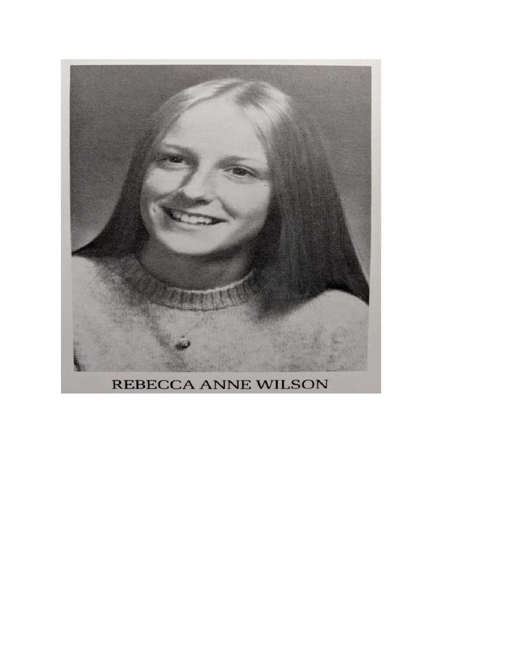